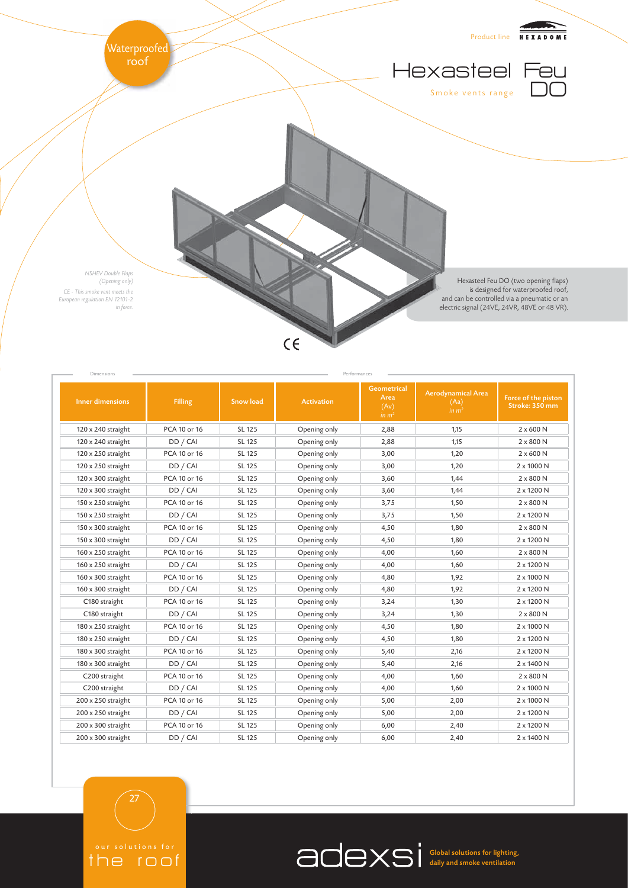

| Inner dimensions   | <b>Filling</b> | <b>Snow load</b> | <b>Activation</b> | <b>Geometrical</b><br>Area<br>(Av)<br>in m <sup>2</sup> | <b>Aerodynamical Area</b><br>(Aa)<br>in $m2$ | Force of the piston<br>Stroke: 350 mm |
|--------------------|----------------|------------------|-------------------|---------------------------------------------------------|----------------------------------------------|---------------------------------------|
| 120 x 240 straight | PCA 10 or 16   | SL 125           | Opening only      | 2,88                                                    | 1,15                                         | $2 \times 600$ N                      |
| 120 x 240 straight | DD / CAI       | SL 125           | Opening only      | 2,88                                                    | 1,15                                         | 2 x 800 N                             |
| 120 x 250 straight | PCA 10 or 16   | SL 125           | Opening only      | 3,00                                                    | 1,20                                         | $2 \times 600$ N                      |
| 120 x 250 straight | DD / CAI       | SL 125           | Opening only      | 3,00                                                    | 1,20                                         | 2 x 1000 N                            |
| 120 x 300 straight | PCA 10 or 16   | SL 125           | Opening only      | 3,60                                                    | 1,44                                         | $2 \times 800$ N                      |
| 120 x 300 straight | DD / CAI       | SL 125           | Opening only      | 3,60                                                    | 1,44                                         | 2 x 1200 N                            |
| 150 x 250 straight | PCA 10 or 16   | SL 125           | Opening only      | 3,75                                                    | 1,50                                         | $2 \times 800$ N                      |
| 150 x 250 straight | DD / CAI       | SL 125           | Opening only      | 3,75                                                    | 1,50                                         | 2 x 1200 N                            |
| 150 x 300 straight | PCA 10 or 16   | SL 125           | Opening only      | 4,50                                                    | 1,80                                         | $2 \times 800$ N                      |
| 150 x 300 straight | DD / CAI       | SL 125           | Opening only      | 4,50                                                    | 1,80                                         | 2 x 1200 N                            |
| 160 x 250 straight | PCA 10 or 16   | SL 125           | Opening only      | 4,00                                                    | 1,60                                         | $2 \times 800$ N                      |
| 160 x 250 straight | DD / CAI       | SL 125           | Opening only      | 4,00                                                    | 1,60                                         | 2 x 1200 N                            |
| 160 x 300 straight | PCA 10 or 16   | SL 125           | Opening only      | 4,80                                                    | 1,92                                         | 2 x 1000 N                            |
| 160 x 300 straight | DD / CAI       | SL 125           | Opening only      | 4,80                                                    | 1,92                                         | 2 x 1200 N                            |
| C180 straight      | PCA 10 or 16   | SL 125           | Opening only      | 3,24                                                    | 1,30                                         | 2 x 1200 N                            |
| C180 straight      | DD / CAI       | SL 125           | Opening only      | 3,24                                                    | 1,30                                         | $2 \times 800$ N                      |
| 180 x 250 straight | PCA 10 or 16   | SL 125           | Opening only      | 4,50                                                    | 1,80                                         | 2 x 1000 N                            |
| 180 x 250 straight | DD / CAI       | SL 125           | Opening only      | 4,50                                                    | 1,80                                         | 2 x 1200 N                            |
| 180 x 300 straight | PCA 10 or 16   | SL 125           | Opening only      | 5,40                                                    | 2,16                                         | 2 x 1200 N                            |
| 180 x 300 straight | DD / CAI       | SL 125           | Opening only      | 5,40                                                    | 2,16                                         | 2 x 1400 N                            |
| C200 straight      | PCA 10 or 16   | SL 125           | Opening only      | 4,00                                                    | 1,60                                         | $2 \times 800$ N                      |
| C200 straight      | DD / CAI       | SL 125           | Opening only      | 4,00                                                    | 1,60                                         | 2 x 1000 N                            |
| 200 x 250 straight | PCA 10 or 16   | SL 125           | Opening only      | 5,00                                                    | 2,00                                         | 2 x 1000 N                            |
| 200 x 250 straight | DD / CAI       | SL 125           | Opening only      | 5,00                                                    | 2,00                                         | 2 x 1200 N                            |
| 200 x 300 straight | PCA 10 or 16   | SL 125           | Opening only      | 6,00                                                    | 2,40                                         | 2 x 1200 N                            |
| 200 x 300 straight | DD / CAI       | SL 125           | Opening only      | 6,00                                                    | 2,40                                         | 2 x 1400 N                            |

the roof

27

Global solutions for lighting, daily and smoke ventilation